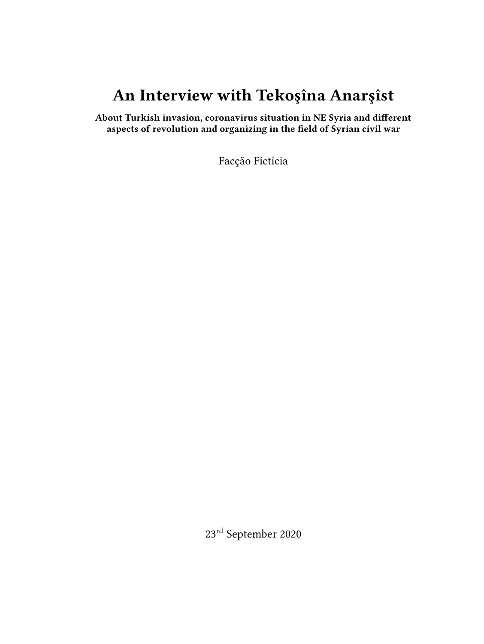# **An Interview with Tekoşîna Anarşîst**

**About Turkish invasion, coronavirus situation in NE Syria and different aspects of revolution and organizing in the field of Syrian civil war**

Facção Fictícia

23rd September 2020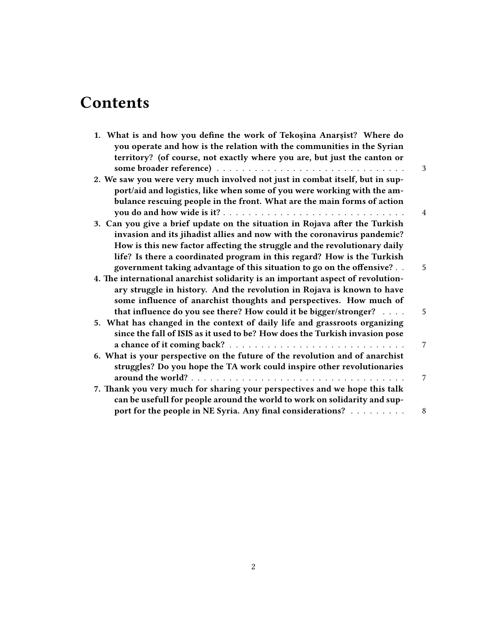# **Contents**

| 1. What is and how you define the work of Tekoşîna Anarşîst? Where do<br>you operate and how is the relation with the communities in the Syrian<br>territory? (of course, not exactly where you are, but just the canton or        | 3              |
|------------------------------------------------------------------------------------------------------------------------------------------------------------------------------------------------------------------------------------|----------------|
| 2. We saw you were very much involved not just in combat itself, but in sup-<br>port/aid and logistics, like when some of you were working with the am-<br>bulance rescuing people in the front. What are the main forms of action |                |
|                                                                                                                                                                                                                                    | $\overline{4}$ |
| 3. Can you give a brief update on the situation in Rojava after the Turkish<br>invasion and its jihadist allies and now with the coronavirus pandemic?                                                                             |                |
| How is this new factor affecting the struggle and the revolutionary daily                                                                                                                                                          |                |
| life? Is there a coordinated program in this regard? How is the Turkish                                                                                                                                                            |                |
| government taking advantage of this situation to go on the offensive?                                                                                                                                                              | 5              |
| 4. The international anarchist solidarity is an important aspect of revolution-                                                                                                                                                    |                |
| ary struggle in history. And the revolution in Rojava is known to have                                                                                                                                                             |                |
| some influence of anarchist thoughts and perspectives. How much of                                                                                                                                                                 |                |
| that influence do you see there? How could it be bigger/stronger?                                                                                                                                                                  | 5              |
| 5. What has changed in the context of daily life and grassroots organizing                                                                                                                                                         |                |
| since the fall of ISIS as it used to be? How does the Turkish invasion pose                                                                                                                                                        |                |
|                                                                                                                                                                                                                                    | 7              |
| 6. What is your perspective on the future of the revolution and of anarchist                                                                                                                                                       |                |
| struggles? Do you hope the TA work could inspire other revolutionaries                                                                                                                                                             |                |
|                                                                                                                                                                                                                                    | 7              |
| 7. Thank you very much for sharing your perspectives and we hope this talk                                                                                                                                                         |                |
| can be usefull for people around the world to work on solidarity and sup-                                                                                                                                                          |                |
| port for the people in NE Syria. Any final considerations?                                                                                                                                                                         | 8              |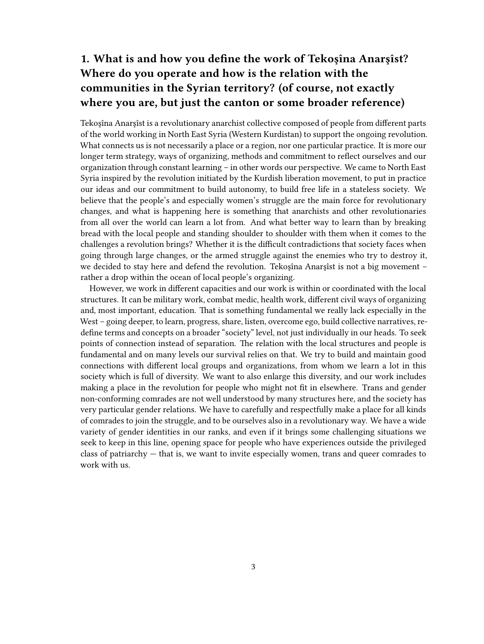## <span id="page-2-0"></span>**1. What is and how you define the work of Tekoşîna Anarşîst? Where do you operate and how is the relation with the communities in the Syrian territory? (of course, not exactly where you are, but just the canton or some broader reference)**

Tekoşîna Anarşîst is a revolutionary anarchist collective composed of people from different parts of the world working in North East Syria (Western Kurdistan) to support the ongoing revolution. What connects us is not necessarily a place or a region, nor one particular practice. It is more our longer term strategy, ways of organizing, methods and commitment to reflect ourselves and our organization through constant learning – in other words our perspective. We came to North East Syria inspired by the revolution initiated by the Kurdish liberation movement, to put in practice our ideas and our commitment to build autonomy, to build free life in a stateless society. We believe that the people's and especially women's struggle are the main force for revolutionary changes, and what is happening here is something that anarchists and other revolutionaries from all over the world can learn a lot from. And what better way to learn than by breaking bread with the local people and standing shoulder to shoulder with them when it comes to the challenges a revolution brings? Whether it is the difficult contradictions that society faces when going through large changes, or the armed struggle against the enemies who try to destroy it, we decided to stay here and defend the revolution. Tekoşîna Anarşîst is not a big movement – rather a drop within the ocean of local people's organizing.

However, we work in different capacities and our work is within or coordinated with the local structures. It can be military work, combat medic, health work, different civil ways of organizing and, most important, education. That is something fundamental we really lack especially in the West – going deeper, to learn, progress, share, listen, overcome ego, build collective narratives, redefine terms and concepts on a broader "society" level, not just individually in our heads. To seek points of connection instead of separation. The relation with the local structures and people is fundamental and on many levels our survival relies on that. We try to build and maintain good connections with different local groups and organizations, from whom we learn a lot in this society which is full of diversity. We want to also enlarge this diversity, and our work includes making a place in the revolution for people who might not fit in elsewhere. Trans and gender non-conforming comrades are not well understood by many structures here, and the society has very particular gender relations. We have to carefully and respectfully make a place for all kinds of comrades to join the struggle, and to be ourselves also in a revolutionary way. We have a wide variety of gender identities in our ranks, and even if it brings some challenging situations we seek to keep in this line, opening space for people who have experiences outside the privileged class of patriarchy — that is, we want to invite especially women, trans and queer comrades to work with us.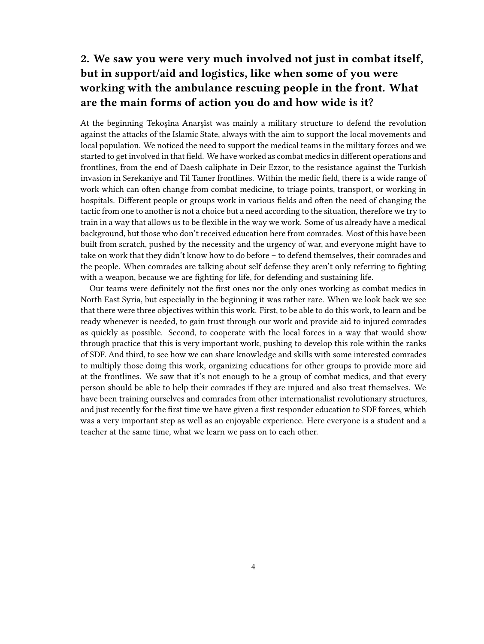## <span id="page-3-0"></span>**2. We saw you were very much involved not just in combat itself, but in support/aid and logistics, like when some of you were working with the ambulance rescuing people in the front. What are the main forms of action you do and how wide is it?**

At the beginning Tekoşîna Anarşîst was mainly a military structure to defend the revolution against the attacks of the Islamic State, always with the aim to support the local movements and local population. We noticed the need to support the medical teams in the military forces and we started to get involved in that field. We have worked as combat medics in different operations and frontlines, from the end of Daesh caliphate in Deir Ezzor, to the resistance against the Turkish invasion in Serekaniye and Til Tamer frontlines. Within the medic field, there is a wide range of work which can often change from combat medicine, to triage points, transport, or working in hospitals. Different people or groups work in various fields and often the need of changing the tactic from one to another is not a choice but a need according to the situation, therefore we try to train in a way that allows us to be flexible in the way we work. Some of us already have a medical background, but those who don't received education here from comrades. Most of this have been built from scratch, pushed by the necessity and the urgency of war, and everyone might have to take on work that they didn't know how to do before – to defend themselves, their comrades and the people. When comrades are talking about self defense they aren't only referring to fighting with a weapon, because we are fighting for life, for defending and sustaining life.

Our teams were definitely not the first ones nor the only ones working as combat medics in North East Syria, but especially in the beginning it was rather rare. When we look back we see that there were three objectives within this work. First, to be able to do this work, to learn and be ready whenever is needed, to gain trust through our work and provide aid to injured comrades as quickly as possible. Second, to cooperate with the local forces in a way that would show through practice that this is very important work, pushing to develop this role within the ranks of SDF. And third, to see how we can share knowledge and skills with some interested comrades to multiply those doing this work, organizing educations for other groups to provide more aid at the frontlines. We saw that it's not enough to be a group of combat medics, and that every person should be able to help their comrades if they are injured and also treat themselves. We have been training ourselves and comrades from other internationalist revolutionary structures, and just recently for the first time we have given a first responder education to SDF forces, which was a very important step as well as an enjoyable experience. Here everyone is a student and a teacher at the same time, what we learn we pass on to each other.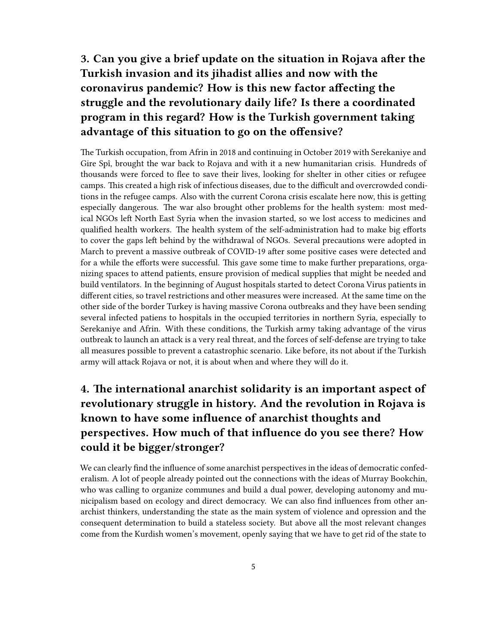## <span id="page-4-0"></span>**3. Can you give a brief update on the situation in Rojava after the Turkish invasion and its jihadist allies and now with the coronavirus pandemic? How is this new factor affecting the struggle and the revolutionary daily life? Is there a coordinated program in this regard? How is the Turkish government taking advantage of this situation to go on the offensive?**

The Turkish occupation, from Afrin in 2018 and continuing in October 2019 with Serekaniye and Gire Spî, brought the war back to Rojava and with it a new humanitarian crisis. Hundreds of thousands were forced to flee to save their lives, looking for shelter in other cities or refugee camps. This created a high risk of infectious diseases, due to the difficult and overcrowded conditions in the refugee camps. Also with the current Corona crisis escalate here now, this is getting especially dangerous. The war also brought other problems for the health system: most medical NGOs left North East Syria when the invasion started, so we lost access to medicines and qualified health workers. The health system of the self-administration had to make big efforts to cover the gaps left behind by the withdrawal of NGOs. Several precautions were adopted in March to prevent a massive outbreak of COVID-19 after some positive cases were detected and for a while the efforts were successful. This gave some time to make further preparations, organizing spaces to attend patients, ensure provision of medical supplies that might be needed and build ventilators. In the beginning of August hospitals started to detect Corona Virus patients in different cities, so travel restrictions and other measures were increased. At the same time on the other side of the border Turkey is having massive Corona outbreaks and they have been sending several infected patiens to hospitals in the occupied territories in northern Syria, especially to Serekaniye and Afrin. With these conditions, the Turkish army taking advantage of the virus outbreak to launch an attack is a very real threat, and the forces of self-defense are trying to take all measures possible to prevent a catastrophic scenario. Like before, its not about if the Turkish army will attack Rojava or not, it is about when and where they will do it.

### <span id="page-4-1"></span>**4. The international anarchist solidarity is an important aspect of revolutionary struggle in history. And the revolution in Rojava is known to have some influence of anarchist thoughts and perspectives. How much of that influence do you see there? How could it be bigger/stronger?**

We can clearly find the influence of some anarchist perspectives in the ideas of democratic confederalism. A lot of people already pointed out the connections with the ideas of Murray Bookchin, who was calling to organize communes and build a dual power, developing autonomy and municipalism based on ecology and direct democracy. We can also find influences from other anarchist thinkers, understanding the state as the main system of violence and opression and the consequent determination to build a stateless society. But above all the most relevant changes come from the Kurdish women's movement, openly saying that we have to get rid of the state to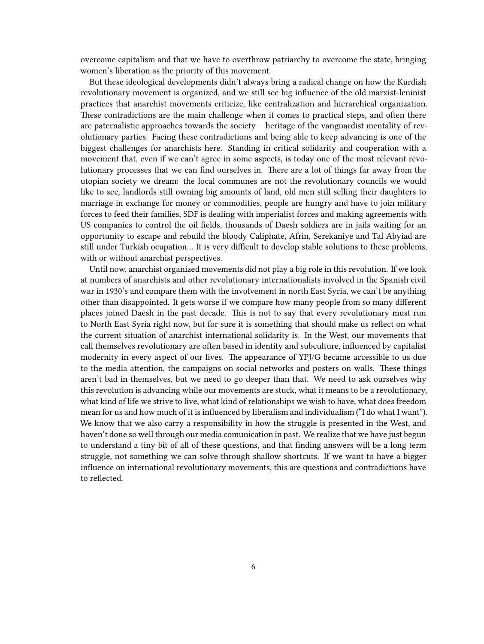overcome capitalism and that we have to overthrow patriarchy to overcome the state, bringing women's liberation as the priority of this movement.

But these ideological developments didn't always bring a radical change on how the Kurdish revolutionary movement is organized, and we still see big influence of the old marxist-leninist practices that anarchist movements criticize, like centralization and hierarchical organization. These contradictions are the main challenge when it comes to practical steps, and often there are paternalistic approaches towards the society – heritage of the vanguardist mentality of revolutionary parties. Facing these contradictions and being able to keep advancing is one of the biggest challenges for anarchists here. Standing in critical solidarity and cooperation with a movement that, even if we can't agree in some aspects, is today one of the most relevant revolutionary processes that we can find ourselves in. There are a lot of things far away from the utopian society we dream: the local communes are not the revolutionary councils we would like to see, landlords still owning big amounts of land, old men still selling their daughters to marriage in exchange for money or commodities, people are hungry and have to join military forces to feed their families, SDF is dealing with imperialist forces and making agreements with US companies to control the oil fields, thousands of Daesh soldiers are in jails waiting for an opportunity to escape and rebuild the bloody Caliphate, Afrin, Serekaniye and Tal Abyiad are still under Turkish ocupation… It is very difficult to develop stable solutions to these problems, with or without anarchist perspectives.

Until now, anarchist organized movements did not play a big role in this revolution. If we look at numbers of anarchists and other revolutionary internationalists involved in the Spanish civil war in 1930's and compare them with the involvement in north East Syria, we can't be anything other than disappointed. It gets worse if we compare how many people from so many different places joined Daesh in the past decade. This is not to say that every revolutionary must run to North East Syria right now, but for sure it is something that should make us reflect on what the current situation of anarchist international solidarity is. In the West, our movements that call themselves revolutionary are often based in identity and subculture, influenced by capitalist modernity in every aspect of our lives. The appearance of YPJ/G became accessible to us due to the media attention, the campaigns on social networks and posters on walls. These things aren't bad in themselves, but we need to go deeper than that. We need to ask ourselves why this revolution is advancing while our movements are stuck, what it means to be a revolutionary, what kind of life we strive to live, what kind of relationships we wish to have, what does freedom mean for us and how much of it is influenced by liberalism and individualism ("I do what I want"). We know that we also carry a responsibility in how the struggle is presented in the West, and haven't done so well through our media comunication in past. We realize that we have just begun to understand a tiny bit of all of these questions, and that finding answers will be a long term struggle, not something we can solve through shallow shortcuts. If we want to have a bigger influence on international revolutionary movements, this are questions and contradictions have to reflected.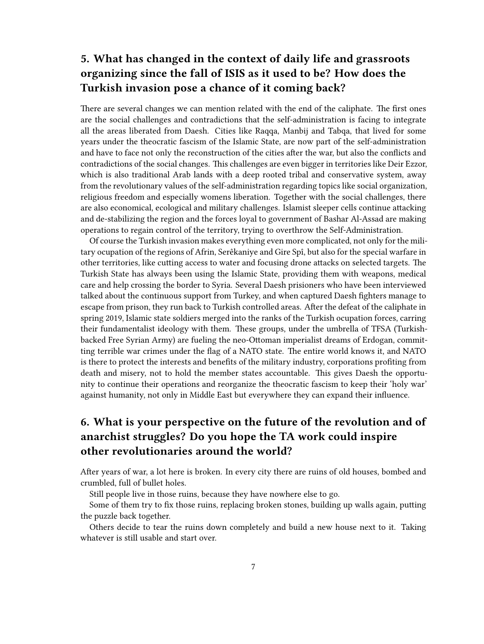#### <span id="page-6-0"></span>**5. What has changed in the context of daily life and grassroots organizing since the fall of ISIS as it used to be? How does the Turkish invasion pose a chance of it coming back?**

There are several changes we can mention related with the end of the caliphate. The first ones are the social challenges and contradictions that the self-administration is facing to integrate all the areas liberated from Daesh. Cities like Raqqa, Manbij and Tabqa, that lived for some years under the theocratic fascism of the Islamic State, are now part of the self-administration and have to face not only the reconstruction of the cities after the war, but also the conflicts and contradictions of the social changes. This challenges are even bigger in territories like Deir Ezzor, which is also traditional Arab lands with a deep rooted tribal and conservative system, away from the revolutionary values of the self-administration regarding topics like social organization, religious freedom and especially womens liberation. Together with the social challenges, there are also economical, ecological and military challenges. Islamist sleeper cells continue attacking and de-stabilizing the region and the forces loyal to government of Bashar Al-Assad are making operations to regain control of the territory, trying to overthrow the Self-Administration.

Of course the Turkish invasion makes everything even more complicated, not only for the military ocupation of the regions of Afrin, Serêkaniye and Gire Spî, but also for the special warfare in other territories, like cutting access to water and focusing drone attacks on selected targets. The Turkish State has always been using the Islamic State, providing them with weapons, medical care and help crossing the border to Syria. Several Daesh prisioners who have been interviewed talked about the continuous support from Turkey, and when captured Daesh fighters manage to escape from prison, they run back to Turkish controlled areas. After the defeat of the caliphate in spring 2019, Islamic state soldiers merged into the ranks of the Turkish ocupation forces, carring their fundamentalist ideology with them. These groups, under the umbrella of TFSA (Turkishbacked Free Syrian Army) are fueling the neo-Ottoman imperialist dreams of Erdogan, committing terrible war crimes under the flag of a NATO state. The entire world knows it, and NATO is there to protect the interests and benefits of the military industry, corporations profiting from death and misery, not to hold the member states accountable. This gives Daesh the opportunity to continue their operations and reorganize the theocratic fascism to keep their 'holy war' against humanity, not only in Middle East but everywhere they can expand their influence.

#### <span id="page-6-1"></span>**6. What is your perspective on the future of the revolution and of anarchist struggles? Do you hope the TA work could inspire other revolutionaries around the world?**

After years of war, a lot here is broken. In every city there are ruins of old houses, bombed and crumbled, full of bullet holes.

Still people live in those ruins, because they have nowhere else to go.

Some of them try to fix those ruins, replacing broken stones, building up walls again, putting the puzzle back together.

Others decide to tear the ruins down completely and build a new house next to it. Taking whatever is still usable and start over.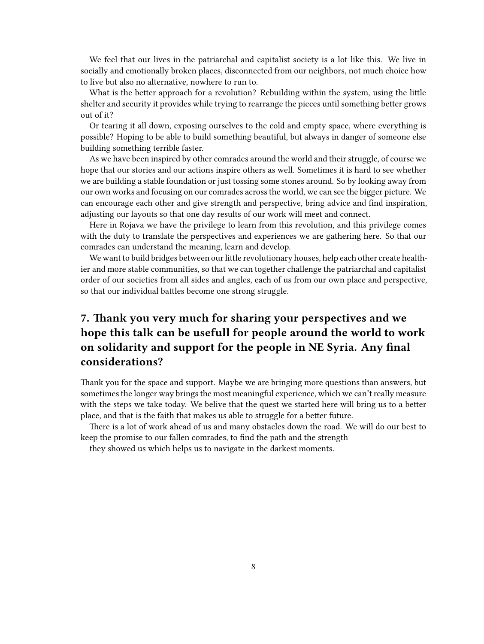We feel that our lives in the patriarchal and capitalist society is a lot like this. We live in socially and emotionally broken places, disconnected from our neighbors, not much choice how to live but also no alternative, nowhere to run to.

What is the better approach for a revolution? Rebuilding within the system, using the little shelter and security it provides while trying to rearrange the pieces until something better grows out of it?

Or tearing it all down, exposing ourselves to the cold and empty space, where everything is possible? Hoping to be able to build something beautiful, but always in danger of someone else building something terrible faster.

As we have been inspired by other comrades around the world and their struggle, of course we hope that our stories and our actions inspire others as well. Sometimes it is hard to see whether we are building a stable foundation or just tossing some stones around. So by looking away from our own works and focusing on our comrades across the world, we can see the bigger picture. We can encourage each other and give strength and perspective, bring advice and find inspiration, adjusting our layouts so that one day results of our work will meet and connect.

Here in Rojava we have the privilege to learn from this revolution, and this privilege comes with the duty to translate the perspectives and experiences we are gathering here. So that our comrades can understand the meaning, learn and develop.

We want to build bridges between our little revolutionary houses, help each other create healthier and more stable communities, so that we can together challenge the patriarchal and capitalist order of our societies from all sides and angles, each of us from our own place and perspective, so that our individual battles become one strong struggle.

### <span id="page-7-0"></span>**7. Thank you very much for sharing your perspectives and we hope this talk can be usefull for people around the world to work on solidarity and support for the people in NE Syria. Any final considerations?**

Thank you for the space and support. Maybe we are bringing more questions than answers, but sometimes the longer way brings the most meaningful experience, which we can't really measure with the steps we take today. We belive that the quest we started here will bring us to a better place, and that is the faith that makes us able to struggle for a better future.

There is a lot of work ahead of us and many obstacles down the road. We will do our best to keep the promise to our fallen comrades, to find the path and the strength

they showed us which helps us to navigate in the darkest moments.